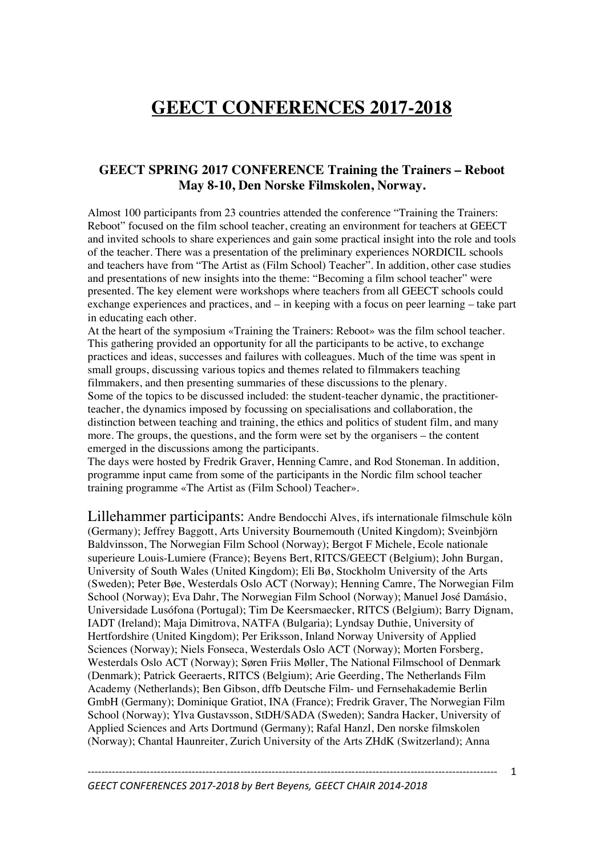## **GEECT CONFERENCES 2017-2018**

## **GEECT SPRING 2017 CONFERENCE Training the Trainers – Reboot May 8-10, Den Norske Filmskolen, Norway.**

Almost 100 participants from 23 countries attended the conference "Training the Trainers: Reboot" focused on the film school teacher, creating an environment for teachers at GEECT and invited schools to share experiences and gain some practical insight into the role and tools of the teacher. There was a presentation of the preliminary experiences NORDICIL schools and teachers have from "The Artist as (Film School) Teacher". In addition, other case studies and presentations of new insights into the theme: "Becoming a film school teacher" were presented. The key element were workshops where teachers from all GEECT schools could exchange experiences and practices, and – in keeping with a focus on peer learning – take part in educating each other.

At the heart of the symposium «Training the Trainers: Reboot» was the film school teacher. This gathering provided an opportunity for all the participants to be active, to exchange practices and ideas, successes and failures with colleagues. Much of the time was spent in small groups, discussing various topics and themes related to filmmakers teaching filmmakers, and then presenting summaries of these discussions to the plenary. Some of the topics to be discussed included: the student-teacher dynamic, the practitionerteacher, the dynamics imposed by focussing on specialisations and collaboration, the distinction between teaching and training, the ethics and politics of student film, and many more. The groups, the questions, and the form were set by the organisers – the content emerged in the discussions among the participants.

The days were hosted by Fredrik Graver, Henning Camre, and Rod Stoneman. In addition, programme input came from some of the participants in the Nordic film school teacher training programme «The Artist as (Film School) Teacher».

Lillehammer participants: Andre Bendocchi Alves, ifs internationale filmschule köln (Germany); Jeffrey Baggott, Arts University Bournemouth (United Kingdom); Sveinbjörn Baldvinsson, The Norwegian Film School (Norway); Bergot F Michele, Ecole nationale superieure Louis-Lumiere (France); Beyens Bert, RITCS/GEECT (Belgium); John Burgan, University of South Wales (United Kingdom); Eli Bø, Stockholm University of the Arts (Sweden); Peter Bøe, Westerdals Oslo ACT (Norway); Henning Camre, The Norwegian Film School (Norway); Eva Dahr, The Norwegian Film School (Norway); Manuel José Damásio, Universidade Lusófona (Portugal); Tim De Keersmaecker, RITCS (Belgium); Barry Dignam, IADT (Ireland); Maja Dimitrova, NATFA (Bulgaria); Lyndsay Duthie, University of Hertfordshire (United Kingdom); Per Eriksson, Inland Norway University of Applied Sciences (Norway); Niels Fonseca, Westerdals Oslo ACT (Norway); Morten Forsberg, Westerdals Oslo ACT (Norway); Søren Friis Møller, The National Filmschool of Denmark (Denmark); Patrick Geeraerts, RITCS (Belgium); Arie Geerding, The Netherlands Film Academy (Netherlands); Ben Gibson, dffb Deutsche Film- und Fernsehakademie Berlin GmbH (Germany); Dominique Gratiot, INA (France); Fredrik Graver, The Norwegian Film School (Norway); Ylva Gustavsson, StDH/SADA (Sweden); Sandra Hacker, University of Applied Sciences and Arts Dortmund (Germany); Rafal Hanzl, Den norske filmskolen (Norway); Chantal Haunreiter, Zurich University of the Arts ZHdK (Switzerland); Anna

---------------------------------------------------------------------------------------------------------------------- 1